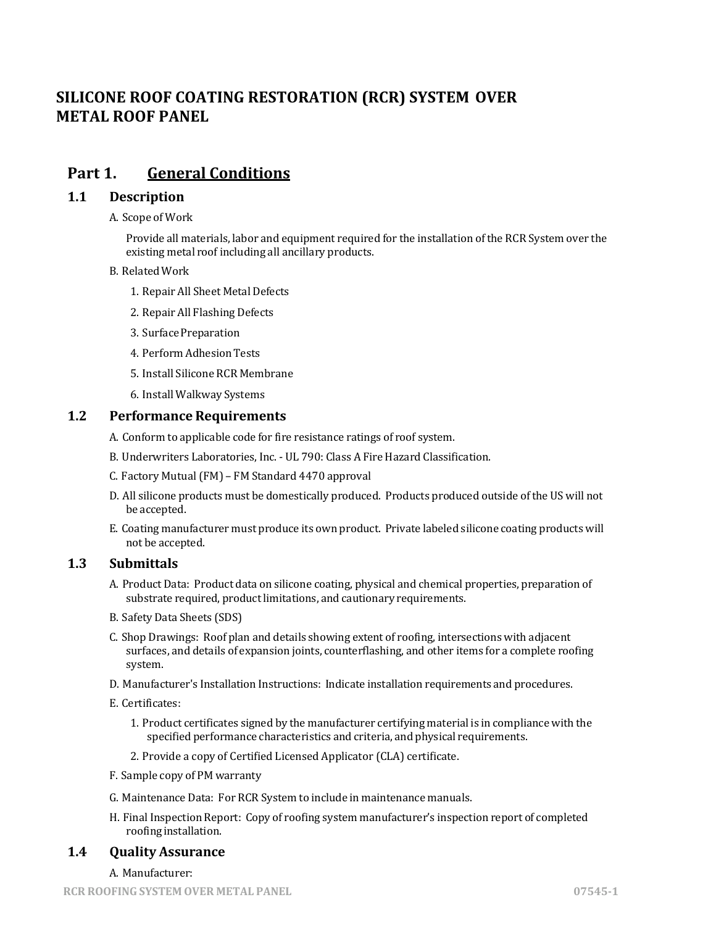# **SILICONE ROOF COATING RESTORATION (RCR) SYSTEM OVER METAL ROOF PANEL**

## **Part 1. General Conditions**

## **1.1 Description**

#### A. Scope of Work

Provide all materials, labor and equipment required for the installation of the RCR System over the existing metal roof including all ancillary products.

#### B. RelatedWork

- 1. Repair All Sheet Metal Defects
- 2. Repair All Flashing Defects
- 3. Surface Preparation
- 4. Perform Adhesion Tests
- 5. Install Silicone RCR Membrane
- 6. Install Walkway Systems

### **1.2** Performance Requirements

- A. Conform to applicable code for fire resistance ratings of roof system.
- B. Underwriters Laboratories, Inc. UL 790: Class A Fire Hazard Classification.
- C. Factory Mutual(FM) FM Standard 4470 approval
- D. All silicone products must be domestically produced. Products produced outside of the US will not be accepted.
- E. Coating manufacturer must produce its own product. Private labeled silicone coating products will not be accepted.

## **1.3 Submittals**

- A. Product Data: Product data on silicone coating, physical and chemical properties, preparation of substrate required, product limitations, and cautionary requirements.
- B. Safety Data Sheets (SDS)
- C. Shop Drawings: Roof plan and details showing extent of roofing, intersections with adjacent surfaces, and details of expansion joints, counterflashing, and other items for a complete roofing system.
- D. Manufacturer's Installation Instructions: Indicate installation requirements and procedures.
- E. Certificates:
	- 1. Product certificates signed by the manufacturer certifying material is in compliance with the specified performance characteristics and criteria, and physical requirements.
	- 2. Provide a copy of Certified Licensed Applicator (CLA) certificate.
- F. Sample copy of PM warranty
- G. Maintenance Data: For RCR System to include in maintenance manuals.
- H. Final Inspection Report: Copy of roofing system manufacturer's inspection report of completed roofing installation.

## **1.4 Quality Assurance**

#### A. Manufacturer: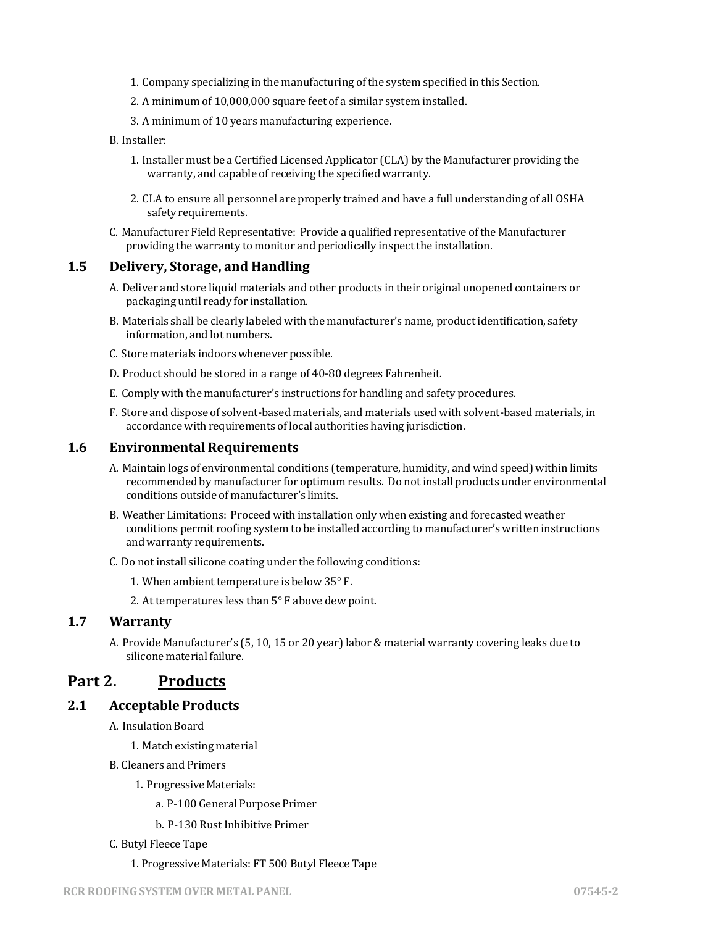- 1. Company specializing in the manufacturing of the system specified in this Section.
- 2. A minimum of 10,000,000 square feet of a similar system installed.
- 3. A minimum of 10 years manufacturing experience.
- B. Installer:
	- 1. Installer must be a Certified Licensed Applicator (CLA) by the Manufacturer providing the warranty, and capable of receiving the specified warranty.
	- 2. CLA to ensure all personnel are properly trained and have a full understanding of all OSHA safety requirements.
- C. Manufacturer Field Representative: Provide a qualified representative ofthe Manufacturer providing the warranty to monitor and periodically inspect the installation.

### **1.5 Delivery, Storage, and Handling**

- A. Deliver and store liquid materials and other products in their original unopened containers or packaging until ready for installation.
- B. Materials shall be clearly labeled with the manufacturer's name, product identification, safety information, and lot numbers.
- C. Store materials indoors whenever possible.
- D. Product should be stored in a range of 40-80 degrees Fahrenheit.
- E. Comply with the manufacturer's instructions for handling and safety procedures.
- F. Store and dispose of solvent-based materials, and materials used with solvent-based materials, in accordance with requirements of local authorities having jurisdiction.

#### **1.6 Environmental Requirements**

- A. Maintain logs of environmental conditions (temperature, humidity, and wind speed) within limits recommended by manufacturer for optimum results. Do not install products under environmental conditions outside of manufacturer's limits.
- B. Weather Limitations: Proceed with installation only when existing and forecasted weather conditions permit roofing system to be installed according to manufacturer's written instructions and warranty requirements.
- C. Do not install silicone coating under the following conditions:
	- 1. When ambient temperature is below 35° F.
	- 2. At temperatures less than 5° F above dew point.

#### **1.7 Warranty**

A. Provide Manufacturer's (5, 10, 15 or 20 year) labor & material warranty covering leaks due to silicone material failure.

## **Part 2. Products**

### **2.1 Acceptable Products**

- A. Insulation Board
	- 1. Match existing material
- B. Cleaners and Primers
	- 1. Progressive Materials:
		- a. P-100 General Purpose Primer
		- b. P-130 Rust Inhibitive Primer

#### C. Butyl Fleece Tape

1. Progressive Materials: FT 500 Butyl Fleece Tape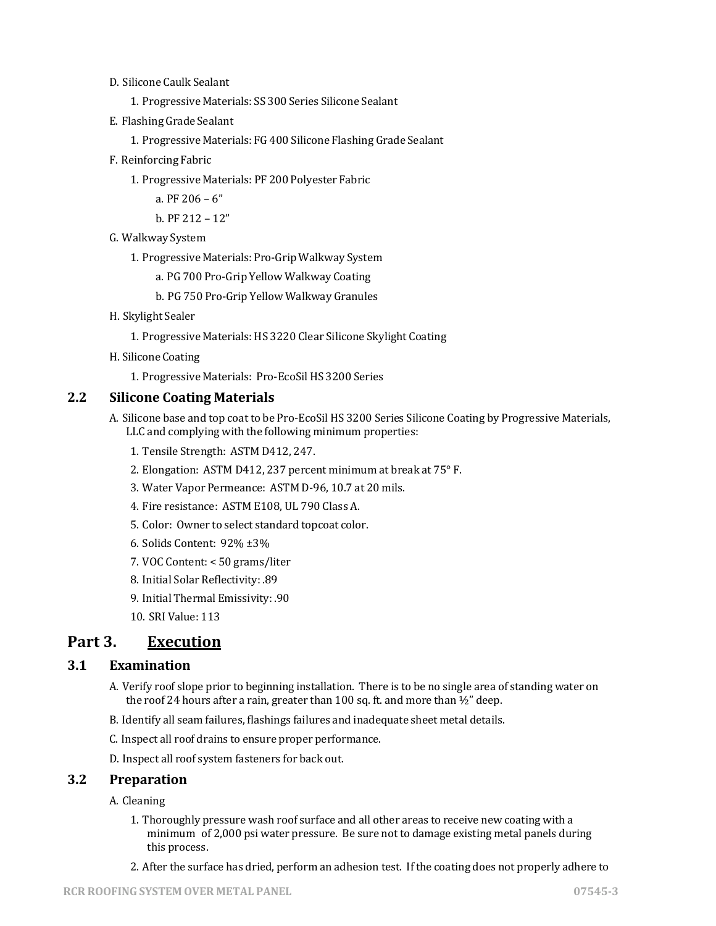- D. Silicone Caulk Sealant
	- 1. Progressive Materials: SS 300 Series Silicone Sealant
- E. Flashing Grade Sealant
	- 1. Progressive Materials: FG 400 Silicone Flashing Grade Sealant
- F. ReinforcingFabric
	- 1. Progressive Materials: PF 200 Polyester Fabric
		- a. PF 206 6"
		- b. PF 212 12"
- G. Walkway System
	- 1. Progressive Materials: Pro-Grip Walkway System
		- a. PG 700 Pro-Grip Yellow Walkway Coating
		- b. PG 750 Pro-Grip Yellow Walkway Granules
- H. Skylight Sealer
	- 1. Progressive Materials: HS 3220 Clear Silicone Skylight Coating
- H. Silicone Coating
	- 1. Progressive Materials: Pro-EcoSil HS 3200 Series

#### **2.2 Silicone Coating Materials**

- A. Silicone base and top coat to be Pro-EcoSil HS 3200 Series Silicone Coating by Progressive Materials, LLC and complying with the following minimum properties:
	- 1. Tensile Strength: ASTM D412, 247.
	- 2. Elongation: ASTM D412, 237 percent minimum at break at 75° F.
	- 3. Water Vapor Permeance: ASTM D-96, 10.7 at 20 mils.
	- 4. Fire resistance: ASTM E108, UL 790 Class A.
	- 5. Color: Owner to select standard topcoat color.
	- 6. Solids Content: 92% ±3%
	- 7. VOC Content: < 50 grams/liter
	- 8. Initial Solar Reflectivity: .89
	- 9. Initial Thermal Emissivity: .90
	- 10. SRI Value: 113

## **Part 3. Execution**

## **3.1 Examination**

- A. Verify roof slope prior to beginning installation. There is to be no single area of standing water on the roof 24 hours after a rain, greater than 100 sq. ft. and more than  $\frac{1}{2}$ " deep.
- B. Identify all seam failures, flashings failures and inadequate sheet metal details.
- C. Inspect all roof drains to ensure proper performance.
- D. Inspect all roof system fasteners for back out.

#### **3.2 Preparation**

### A. Cleaning

- 1. Thoroughly pressure wash roof surface and all other areas to receive new coating with a minimum of 2,000 psi water pressure. Be sure not to damage existing metal panels during this process.
- 2. After the surface has dried, perform an adhesion test. If the coating does not properly adhere to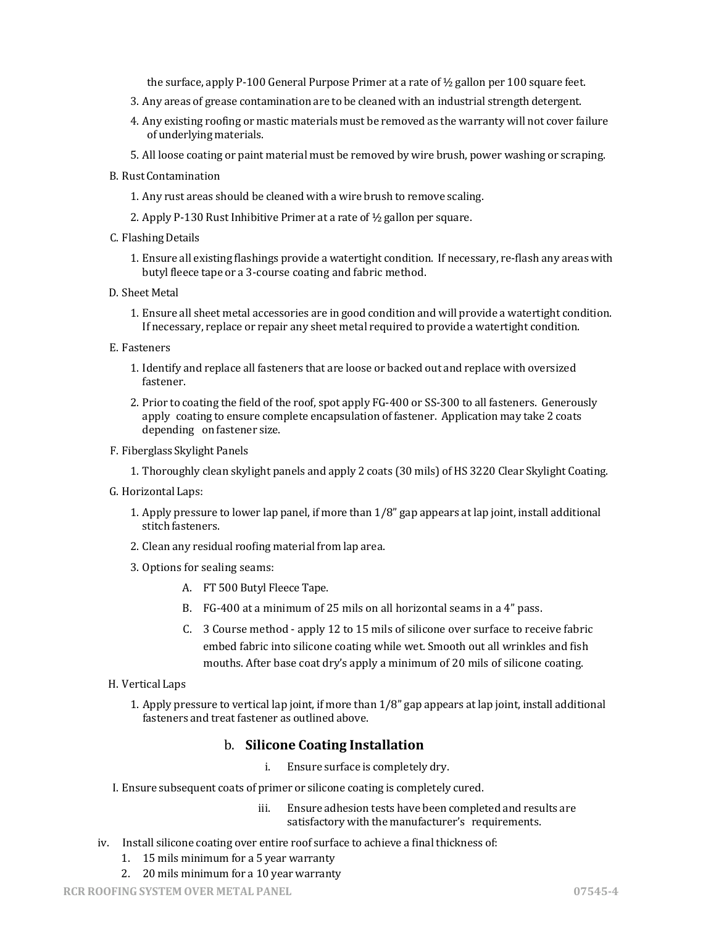the surface, apply P-100 General Purpose Primer at a rate of  $\frac{1}{2}$  gallon per 100 square feet.

- 3. Any areas of grease contamination are to be cleaned with an industrial strength detergent.
- 4. Any existing roofing or mastic materials must be removed as the warranty will not cover failure of underlying materials.
- 5. All loose coating or paint material must be removed by wire brush, power washing or scraping.
- B. RustContamination
	- 1. Any rust areas should be cleaned with a wire brush to remove scaling.
	- 2. Apply P-130 Rust Inhibitive Primer at a rate of ½ gallon per square.
- C. Flashing Details
	- 1. Ensure all existing flashings provide a watertight condition. If necessary, re-flash any areas with butyl fleece tape or a 3-course coating and fabric method.
- D. Sheet Metal
	- 1. Ensure all sheet metal accessories are in good condition and will provide a watertight condition. If necessary, replace or repair any sheet metal required to provide a watertight condition.
- E. Fasteners
	- 1. Identify and replace all fasteners that are loose or backed out and replace with oversized fastener.
	- 2. Prior to coating the field of the roof, spot apply FG-400 or SS-300 to all fasteners. Generously apply coating to ensure complete encapsulation of fastener. Application may take 2 coats depending on fastener size.
- F. Fiberglass Skylight Panels
	- 1. Thoroughly clean skylight panels and apply 2 coats (30 mils) of HS 3220 Clear Skylight Coating.
- G. Horizontal Laps:
	- 1. Apply pressure to lower lap panel, if more than 1/8" gap appears at lap joint, install additional stitch fasteners.
	- 2. Clean any residual roofing material from lap area.
	- 3. Options for sealing seams:
		- A. FT 500 Butyl Fleece Tape.
		- B. FG-400 at a minimum of 25 mils on all horizontal seams in a 4" pass.
		- C. 3 Course method apply 12 to 15 mils of silicone over surface to receive fabric embed fabric into silicone coating while wet. Smooth out all wrinkles and fish mouths. After base coat dry's apply a minimum of 20 mils of silicone coating.

#### H. Vertical Laps

1. Apply pressure to vertical lap joint, if more than 1/8" gap appears at lap joint, install additional fasteners and treat fastener as outlined above.

## b. **Silicone Coating Installation**

- i. Ensure surface is completely dry.
- I. Ensure subsequent coats of primer or silicone coating is completely cured.
	- iii. Ensure adhesion tests have been completed and results are satisfactory with the manufacturer's requirements.
- iv. Install silicone coating over entire roof surface to achieve a final thickness of:
	- 1. 15 mils minimum for a 5 year warranty
	- 2. 20 mils minimum for a 10 year warranty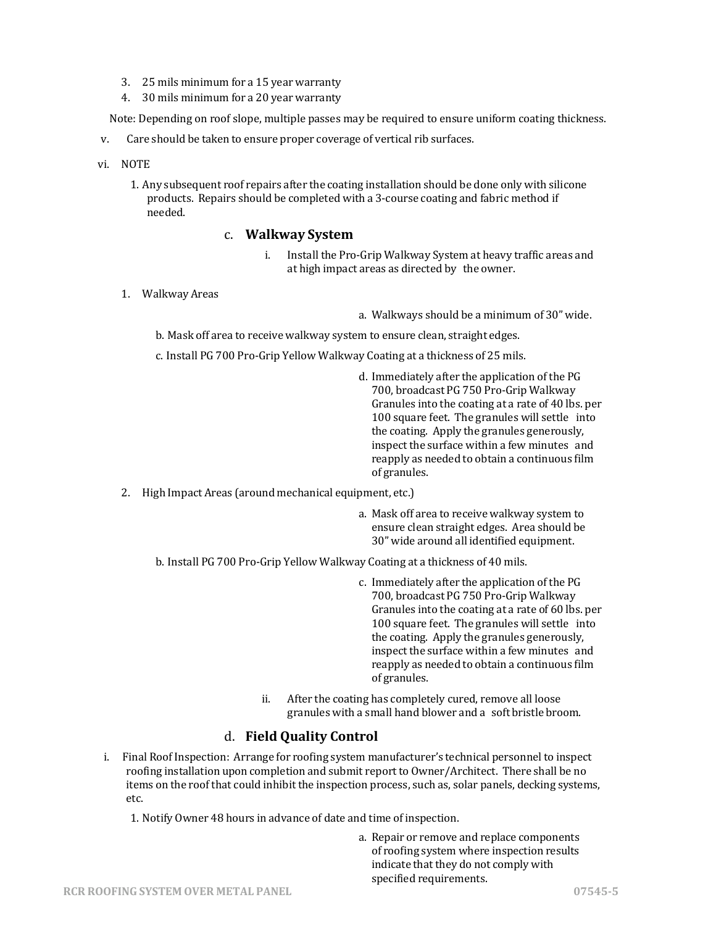- 3. 25 mils minimum for a 15 year warranty
- 4. 30 mils minimum for a 20 year warranty

Note: Depending on roof slope, multiple passes may be required to ensure uniform coating thickness.

- v. Care should be taken to ensure proper coverage of vertical rib surfaces.
- vi. NOTE
	- 1. Any subsequent roof repairs after the coating installation should be done only with silicone products. Repairs should be completed with a 3-course coating and fabric method if needed.

## c. **Walkway System**

- i. Install the Pro-Grip Walkway System at heavy traffic areas and at high impact areas as directed by the owner.
- 1. WalkwayAreas

- a. Walkways should be a minimum of 30" wide.
- b. Mask off area to receive walkway system to ensure clean, straight edges.
- c. Install PG 700 Pro-Grip Yellow Walkway Coating at a thickness of 25 mils.
	- d. Immediately after the application of the PG 700, broadcast PG 750 Pro-Grip Walkway Granules into the coating at a rate of 40 lbs. per 100 square feet. The granules will settle into the coating. Apply the granules generously, inspect the surface within a few minutes and reapply as needed to obtain a continuous film of granules.
- 2. High Impact Areas (around mechanical equipment, etc.)
	- a. Mask off area to receive walkway system to ensure clean straight edges. Area should be 30" wide around all identified equipment.

b. Install PG 700 Pro-Grip Yellow Walkway Coating at a thickness of 40 mils.

- c. Immediately after the application of the PG 700, broadcast PG 750 Pro-Grip Walkway Granules into the coating at a rate of 60 lbs. per 100 square feet. The granules will settle into the coating. Apply the granules generously, inspect the surface within a few minutes and reapply as needed to obtain a continuous film of granules.
- ii. After the coating has completely cured, remove all loose granules with a small hand blower and a soft bristle broom.

## d. **Field Quality Control**

i. Final Roof Inspection: Arrange for roofing system manufacturer's technical personnel to inspect roofing installation upon completion and submit report to Owner/Architect. There shall be no items on the roof that could inhibit the inspection process, such as, solar panels, decking systems, etc.

1. Notify Owner 48 hours in advance of date and time of inspection.

a. Repair or remove and replace components of roofing system where inspection results indicate that they do not comply with specified requirements.